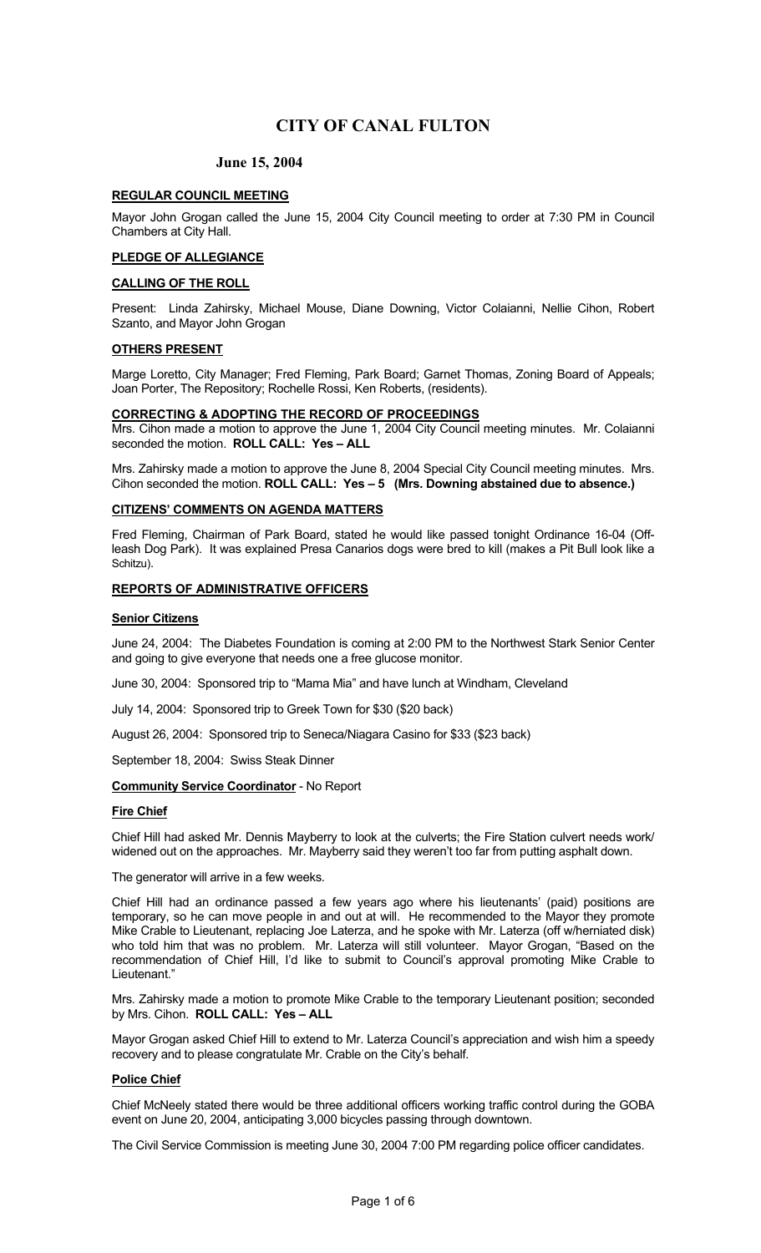## **June 15, 2004**

#### **REGULAR COUNCIL MEETING**

Mayor John Grogan called the June 15, 2004 City Council meeting to order at 7:30 PM in Council Chambers at City Hall.

## **PLEDGE OF ALLEGIANCE**

#### **CALLING OF THE ROLL**

Present: Linda Zahirsky, Michael Mouse, Diane Downing, Victor Colaianni, Nellie Cihon, Robert Szanto, and Mayor John Grogan

#### **OTHERS PRESENT**

Marge Loretto, City Manager; Fred Fleming, Park Board; Garnet Thomas, Zoning Board of Appeals; Joan Porter, The Repository; Rochelle Rossi, Ken Roberts, (residents).

#### **CORRECTING & ADOPTING THE RECORD OF PROCEEDINGS**

Mrs. Cihon made a motion to approve the June 1, 2004 City Council meeting minutes. Mr. Colaianni seconded the motion. **ROLL CALL: Yes – ALL**

Mrs. Zahirsky made a motion to approve the June 8, 2004 Special City Council meeting minutes. Mrs. Cihon seconded the motion. **ROLL CALL: Yes – 5 (Mrs. Downing abstained due to absence.)**

## **CITIZENS' COMMENTS ON AGENDA MATTERS**

Fred Fleming, Chairman of Park Board, stated he would like passed tonight Ordinance 16-04 (Offleash Dog Park). It was explained Presa Canarios dogs were bred to kill (makes a Pit Bull look like a Schitzu).

## **REPORTS OF ADMINISTRATIVE OFFICERS**

#### **Senior Citizens**

June 24, 2004: The Diabetes Foundation is coming at 2:00 PM to the Northwest Stark Senior Center and going to give everyone that needs one a free glucose monitor.

June 30, 2004: Sponsored trip to "Mama Mia" and have lunch at Windham, Cleveland

July 14, 2004: Sponsored trip to Greek Town for \$30 (\$20 back)

August 26, 2004: Sponsored trip to Seneca/Niagara Casino for \$33 (\$23 back)

September 18, 2004: Swiss Steak Dinner

## **Community Service Coordinator** - No Report

#### **Fire Chief**

Chief Hill had asked Mr. Dennis Mayberry to look at the culverts; the Fire Station culvert needs work/ widened out on the approaches. Mr. Mayberry said they weren't too far from putting asphalt down.

The generator will arrive in a few weeks.

Chief Hill had an ordinance passed a few years ago where his lieutenants' (paid) positions are temporary, so he can move people in and out at will. He recommended to the Mayor they promote Mike Crable to Lieutenant, replacing Joe Laterza, and he spoke with Mr. Laterza (off w/herniated disk) who told him that was no problem. Mr. Laterza will still volunteer. Mayor Grogan, "Based on the recommendation of Chief Hill, I'd like to submit to Council's approval promoting Mike Crable to Lieutenant."

Mrs. Zahirsky made a motion to promote Mike Crable to the temporary Lieutenant position; seconded by Mrs. Cihon. **ROLL CALL: Yes – ALL** 

Mayor Grogan asked Chief Hill to extend to Mr. Laterza Council's appreciation and wish him a speedy recovery and to please congratulate Mr. Crable on the City's behalf.

#### **Police Chief**

Chief McNeely stated there would be three additional officers working traffic control during the GOBA event on June 20, 2004, anticipating 3,000 bicycles passing through downtown.

The Civil Service Commission is meeting June 30, 2004 7:00 PM regarding police officer candidates.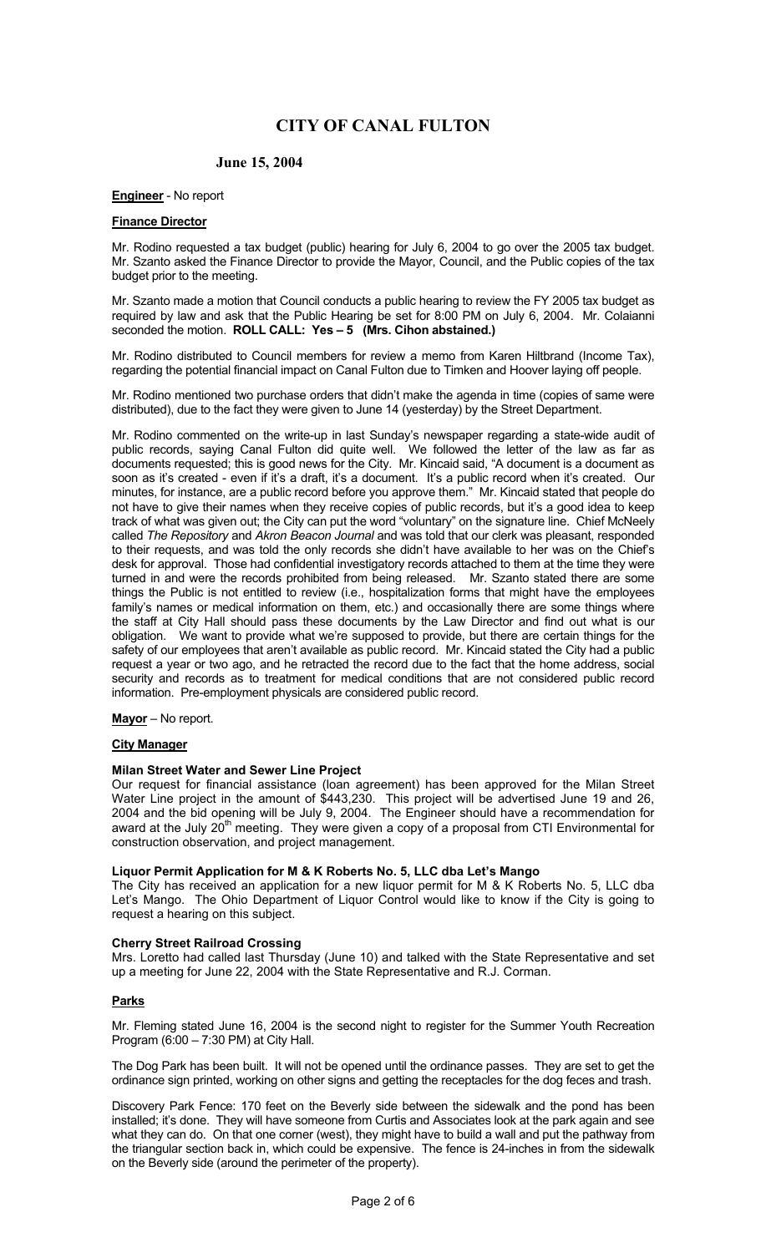## **June 15, 2004**

## **Engineer** - No report

### **Finance Director**

Mr. Rodino requested a tax budget (public) hearing for July 6, 2004 to go over the 2005 tax budget. Mr. Szanto asked the Finance Director to provide the Mayor, Council, and the Public copies of the tax budget prior to the meeting.

Mr. Szanto made a motion that Council conducts a public hearing to review the FY 2005 tax budget as required by law and ask that the Public Hearing be set for 8:00 PM on July 6, 2004. Mr. Colaianni seconded the motion. **ROLL CALL: Yes – 5 (Mrs. Cihon abstained.)** 

Mr. Rodino distributed to Council members for review a memo from Karen Hiltbrand (Income Tax), regarding the potential financial impact on Canal Fulton due to Timken and Hoover laying off people.

Mr. Rodino mentioned two purchase orders that didn't make the agenda in time (copies of same were distributed), due to the fact they were given to June 14 (yesterday) by the Street Department.

Mr. Rodino commented on the write-up in last Sunday's newspaper regarding a state-wide audit of public records, saying Canal Fulton did quite well. We followed the letter of the law as far as documents requested; this is good news for the City. Mr. Kincaid said, "A document is a document as soon as it's created - even if it's a draft, it's a document. It's a public record when it's created. Our minutes, for instance, are a public record before you approve them." Mr. Kincaid stated that people do not have to give their names when they receive copies of public records, but it's a good idea to keep track of what was given out; the City can put the word "voluntary" on the signature line. Chief McNeely called *The Repository* and *Akron Beacon Journal* and was told that our clerk was pleasant, responded to their requests, and was told the only records she didn't have available to her was on the Chief's desk for approval. Those had confidential investigatory records attached to them at the time they were turned in and were the records prohibited from being released. Mr. Szanto stated there are some things the Public is not entitled to review (i.e., hospitalization forms that might have the employees family's names or medical information on them, etc.) and occasionally there are some things where the staff at City Hall should pass these documents by the Law Director and find out what is our obligation. We want to provide what we're supposed to provide, but there are certain things for the safety of our employees that aren't available as public record. Mr. Kincaid stated the City had a public request a year or two ago, and he retracted the record due to the fact that the home address, social security and records as to treatment for medical conditions that are not considered public record information. Pre-employment physicals are considered public record.

## **Mayor** – No report.

#### **City Manager**

#### **Milan Street Water and Sewer Line Project**

Our request for financial assistance (loan agreement) has been approved for the Milan Street Water Line project in the amount of \$443,230. This project will be advertised June 19 and 26, 2004 and the bid opening will be July 9, 2004. The Engineer should have a recommendation for award at the July  $20<sup>th</sup>$  meeting. They were given a copy of a proposal from CTI Environmental for construction observation, and project management.

#### **Liquor Permit Application for M & K Roberts No. 5, LLC dba Let's Mango**

The City has received an application for a new liquor permit for M & K Roberts No. 5, LLC dba Let's Mango. The Ohio Department of Liquor Control would like to know if the City is going to request a hearing on this subject.

#### **Cherry Street Railroad Crossing**

Mrs. Loretto had called last Thursday (June 10) and talked with the State Representative and set up a meeting for June 22, 2004 with the State Representative and R.J. Corman.

## **Parks**

Mr. Fleming stated June 16, 2004 is the second night to register for the Summer Youth Recreation Program (6:00 – 7:30 PM) at City Hall.

The Dog Park has been built. It will not be opened until the ordinance passes. They are set to get the ordinance sign printed, working on other signs and getting the receptacles for the dog feces and trash.

Discovery Park Fence: 170 feet on the Beverly side between the sidewalk and the pond has been installed; it's done. They will have someone from Curtis and Associates look at the park again and see what they can do. On that one corner (west), they might have to build a wall and put the pathway from the triangular section back in, which could be expensive. The fence is 24-inches in from the sidewalk on the Beverly side (around the perimeter of the property).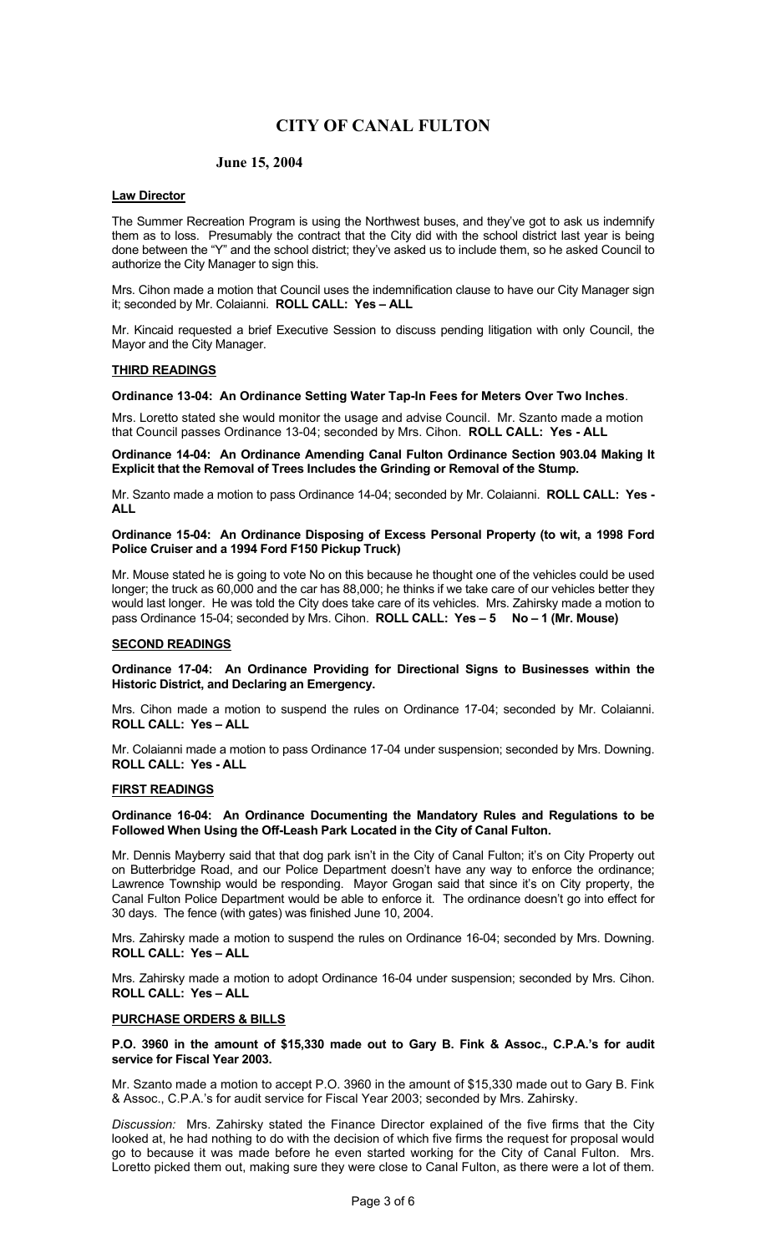## **June 15, 2004**

## **Law Director**

The Summer Recreation Program is using the Northwest buses, and they've got to ask us indemnify them as to loss. Presumably the contract that the City did with the school district last year is being done between the "Y" and the school district; they've asked us to include them, so he asked Council to authorize the City Manager to sign this.

Mrs. Cihon made a motion that Council uses the indemnification clause to have our City Manager sign it; seconded by Mr. Colaianni. **ROLL CALL: Yes – ALL** 

Mr. Kincaid requested a brief Executive Session to discuss pending litigation with only Council, the Mayor and the City Manager.

#### **THIRD READINGS**

#### **Ordinance 13-04: An Ordinance Setting Water Tap-In Fees for Meters Over Two Inches**.

Mrs. Loretto stated she would monitor the usage and advise Council. Mr. Szanto made a motion that Council passes Ordinance 13-04; seconded by Mrs. Cihon. **ROLL CALL: Yes - ALL** 

**Ordinance 14-04: An Ordinance Amending Canal Fulton Ordinance Section 903.04 Making It Explicit that the Removal of Trees Includes the Grinding or Removal of the Stump.**

Mr. Szanto made a motion to pass Ordinance 14-04; seconded by Mr. Colaianni. **ROLL CALL: Yes - ALL** 

#### **Ordinance 15-04: An Ordinance Disposing of Excess Personal Property (to wit, a 1998 Ford Police Cruiser and a 1994 Ford F150 Pickup Truck)**

Mr. Mouse stated he is going to vote No on this because he thought one of the vehicles could be used longer; the truck as 60,000 and the car has 88,000; he thinks if we take care of our vehicles better they would last longer. He was told the City does take care of its vehicles. Mrs. Zahirsky made a motion to pass Ordinance 15-04; seconded by Mrs. Cihon. **ROLL CALL: Yes – 5 No – 1 (Mr. Mouse)** 

#### **SECOND READINGS**

**Ordinance 17-04: An Ordinance Providing for Directional Signs to Businesses within the Historic District, and Declaring an Emergency.**

Mrs. Cihon made a motion to suspend the rules on Ordinance 17-04; seconded by Mr. Colaianni. **ROLL CALL: Yes – ALL** 

Mr. Colaianni made a motion to pass Ordinance 17-04 under suspension; seconded by Mrs. Downing. **ROLL CALL: Yes - ALL** 

#### **FIRST READINGS**

#### **Ordinance 16-04: An Ordinance Documenting the Mandatory Rules and Regulations to be Followed When Using the Off-Leash Park Located in the City of Canal Fulton.**

Mr. Dennis Mayberry said that that dog park isn't in the City of Canal Fulton; it's on City Property out on Butterbridge Road, and our Police Department doesn't have any way to enforce the ordinance; Lawrence Township would be responding. Mayor Grogan said that since it's on City property, the Canal Fulton Police Department would be able to enforce it. The ordinance doesn't go into effect for 30 days. The fence (with gates) was finished June 10, 2004.

Mrs. Zahirsky made a motion to suspend the rules on Ordinance 16-04; seconded by Mrs. Downing. **ROLL CALL: Yes – ALL** 

Mrs. Zahirsky made a motion to adopt Ordinance 16-04 under suspension; seconded by Mrs. Cihon. **ROLL CALL: Yes – ALL** 

#### **PURCHASE ORDERS & BILLS**

**P.O. 3960 in the amount of \$15,330 made out to Gary B. Fink & Assoc., C.P.A.'s for audit service for Fiscal Year 2003.** 

Mr. Szanto made a motion to accept P.O. 3960 in the amount of \$15,330 made out to Gary B. Fink & Assoc., C.P.A.'s for audit service for Fiscal Year 2003; seconded by Mrs. Zahirsky.

*Discussion:* Mrs. Zahirsky stated the Finance Director explained of the five firms that the City looked at, he had nothing to do with the decision of which five firms the request for proposal would go to because it was made before he even started working for the City of Canal Fulton. Mrs. Loretto picked them out, making sure they were close to Canal Fulton, as there were a lot of them.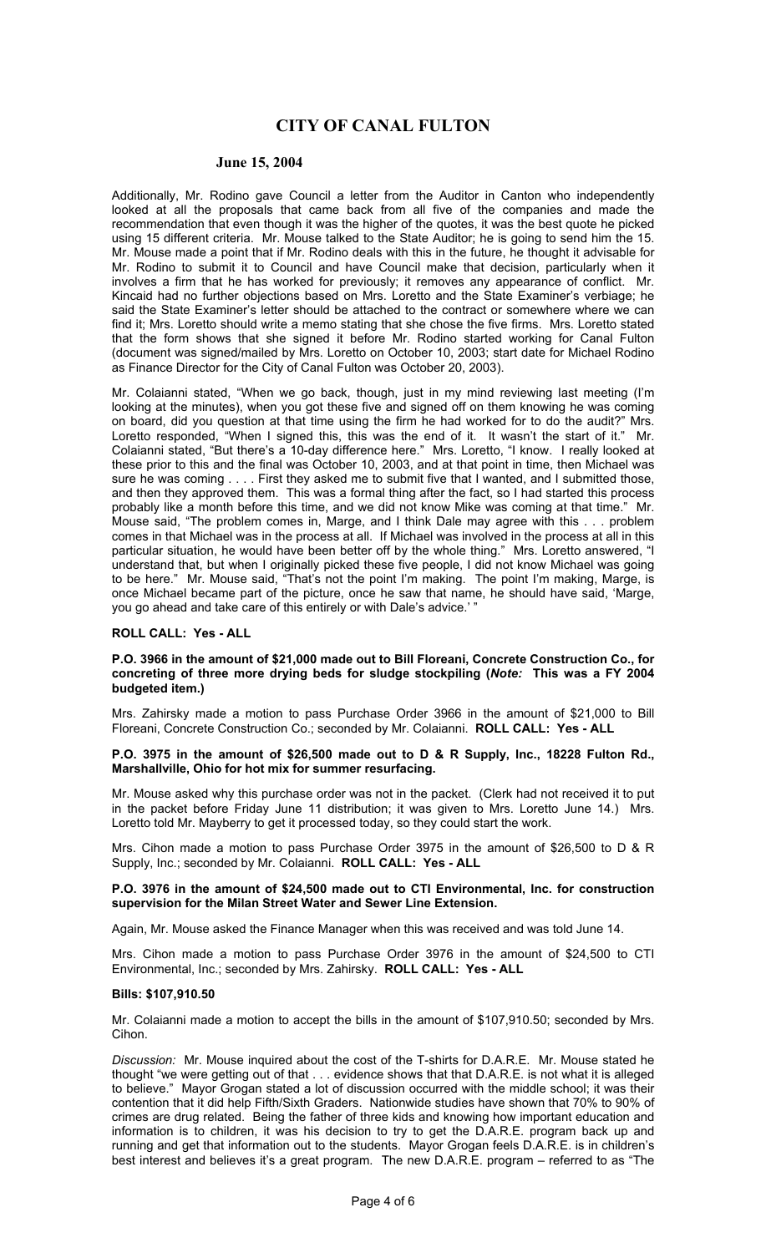#### **June 15, 2004**

Additionally, Mr. Rodino gave Council a letter from the Auditor in Canton who independently looked at all the proposals that came back from all five of the companies and made the recommendation that even though it was the higher of the quotes, it was the best quote he picked using 15 different criteria. Mr. Mouse talked to the State Auditor; he is going to send him the 15. Mr. Mouse made a point that if Mr. Rodino deals with this in the future, he thought it advisable for Mr. Rodino to submit it to Council and have Council make that decision, particularly when it involves a firm that he has worked for previously; it removes any appearance of conflict. Mr. Kincaid had no further objections based on Mrs. Loretto and the State Examiner's verbiage; he said the State Examiner's letter should be attached to the contract or somewhere where we can find it; Mrs. Loretto should write a memo stating that she chose the five firms. Mrs. Loretto stated that the form shows that she signed it before Mr. Rodino started working for Canal Fulton (document was signed/mailed by Mrs. Loretto on October 10, 2003; start date for Michael Rodino as Finance Director for the City of Canal Fulton was October 20, 2003).

Mr. Colaianni stated, "When we go back, though, just in my mind reviewing last meeting (I'm looking at the minutes), when you got these five and signed off on them knowing he was coming on board, did you question at that time using the firm he had worked for to do the audit?" Mrs. Loretto responded, "When I signed this, this was the end of it. It wasn't the start of it." Mr. Colaianni stated, "But there's a 10-day difference here." Mrs. Loretto, "I know. I really looked at these prior to this and the final was October 10, 2003, and at that point in time, then Michael was sure he was coming . . . . First they asked me to submit five that I wanted, and I submitted those, and then they approved them. This was a formal thing after the fact, so I had started this process probably like a month before this time, and we did not know Mike was coming at that time." Mr. Mouse said, "The problem comes in, Marge, and I think Dale may agree with this . . . problem comes in that Michael was in the process at all. If Michael was involved in the process at all in this particular situation, he would have been better off by the whole thing." Mrs. Loretto answered, "I understand that, but when I originally picked these five people, I did not know Michael was going to be here." Mr. Mouse said, "That's not the point I'm making. The point I'm making, Marge, is once Michael became part of the picture, once he saw that name, he should have said, 'Marge, you go ahead and take care of this entirely or with Dale's advice.' "

### **ROLL CALL: Yes - ALL**

#### **P.O. 3966 in the amount of \$21,000 made out to Bill Floreani, Concrete Construction Co., for concreting of three more drying beds for sludge stockpiling (***Note:* **This was a FY 2004 budgeted item.)**

Mrs. Zahirsky made a motion to pass Purchase Order 3966 in the amount of \$21,000 to Bill Floreani, Concrete Construction Co.; seconded by Mr. Colaianni. **ROLL CALL: Yes - ALL** 

#### **P.O. 3975 in the amount of \$26,500 made out to D & R Supply, Inc., 18228 Fulton Rd., Marshallville, Ohio for hot mix for summer resurfacing.**

Mr. Mouse asked why this purchase order was not in the packet. (Clerk had not received it to put in the packet before Friday June 11 distribution; it was given to Mrs. Loretto June 14.) Mrs. Loretto told Mr. Mayberry to get it processed today, so they could start the work.

Mrs. Cihon made a motion to pass Purchase Order 3975 in the amount of \$26,500 to D & R Supply, Inc.; seconded by Mr. Colaianni. **ROLL CALL: Yes - ALL** 

### **P.O. 3976 in the amount of \$24,500 made out to CTI Environmental, Inc. for construction supervision for the Milan Street Water and Sewer Line Extension.**

Again, Mr. Mouse asked the Finance Manager when this was received and was told June 14.

Mrs. Cihon made a motion to pass Purchase Order 3976 in the amount of \$24,500 to CTI Environmental, Inc.; seconded by Mrs. Zahirsky. **ROLL CALL: Yes - ALL** 

### **Bills: \$107,910.50**

Mr. Colaianni made a motion to accept the bills in the amount of \$107,910.50; seconded by Mrs. Cihon.

*Discussion:* Mr. Mouse inquired about the cost of the T-shirts for D.A.R.E. Mr. Mouse stated he thought "we were getting out of that . . . evidence shows that that D.A.R.E. is not what it is alleged to believe." Mayor Grogan stated a lot of discussion occurred with the middle school; it was their contention that it did help Fifth/Sixth Graders. Nationwide studies have shown that 70% to 90% of crimes are drug related. Being the father of three kids and knowing how important education and information is to children, it was his decision to try to get the D.A.R.E. program back up and running and get that information out to the students. Mayor Grogan feels D.A.R.E. is in children's best interest and believes it's a great program. The new D.A.R.E. program – referred to as "The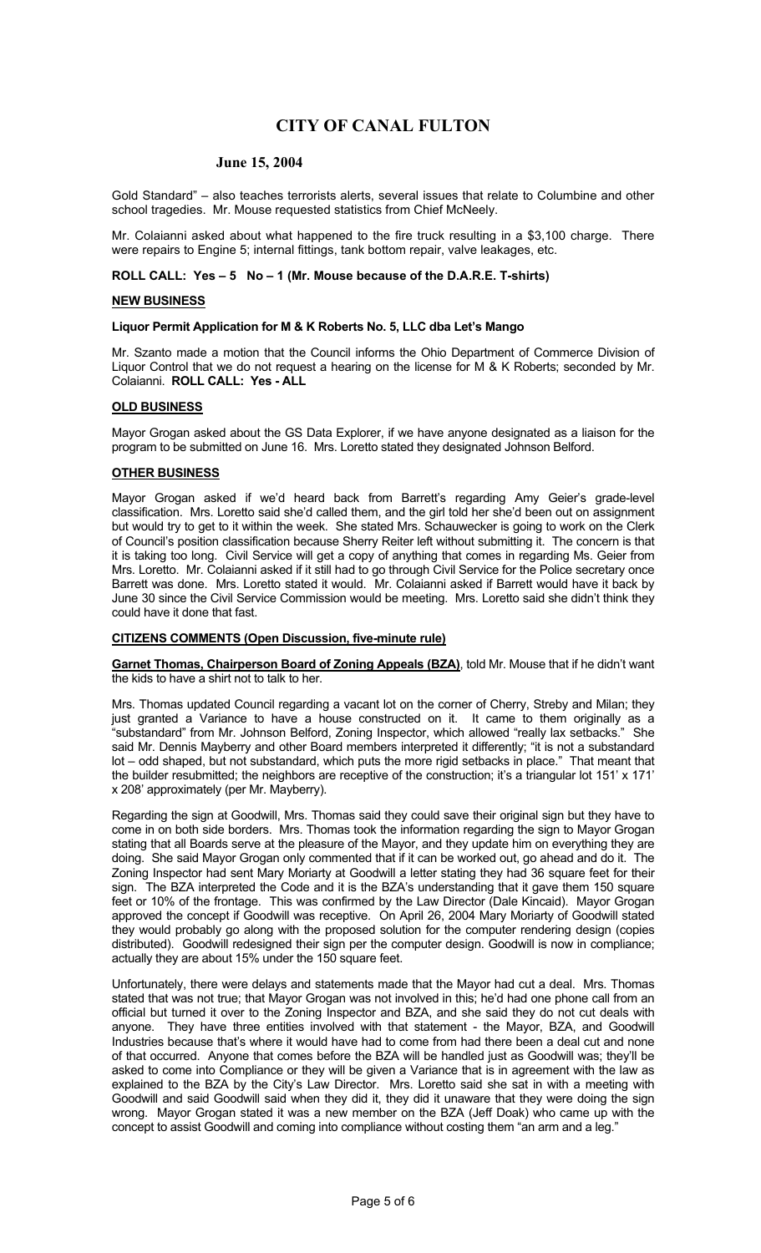#### **June 15, 2004**

Gold Standard" – also teaches terrorists alerts, several issues that relate to Columbine and other school tragedies. Mr. Mouse requested statistics from Chief McNeely.

Mr. Colaianni asked about what happened to the fire truck resulting in a \$3,100 charge. There were repairs to Engine 5; internal fittings, tank bottom repair, valve leakages, etc.

#### **ROLL CALL: Yes – 5 No – 1 (Mr. Mouse because of the D.A.R.E. T-shirts)**

#### **NEW BUSINESS**

#### **Liquor Permit Application for M & K Roberts No. 5, LLC dba Let's Mango**

Mr. Szanto made a motion that the Council informs the Ohio Department of Commerce Division of Liquor Control that we do not request a hearing on the license for M & K Roberts; seconded by Mr. Colaianni. **ROLL CALL: Yes - ALL** 

## **OLD BUSINESS**

Mayor Grogan asked about the GS Data Explorer, if we have anyone designated as a liaison for the program to be submitted on June 16. Mrs. Loretto stated they designated Johnson Belford.

## **OTHER BUSINESS**

Mayor Grogan asked if we'd heard back from Barrett's regarding Amy Geier's grade-level classification. Mrs. Loretto said she'd called them, and the girl told her she'd been out on assignment but would try to get to it within the week. She stated Mrs. Schauwecker is going to work on the Clerk of Council's position classification because Sherry Reiter left without submitting it. The concern is that it is taking too long. Civil Service will get a copy of anything that comes in regarding Ms. Geier from Mrs. Loretto. Mr. Colaianni asked if it still had to go through Civil Service for the Police secretary once Barrett was done. Mrs. Loretto stated it would. Mr. Colaianni asked if Barrett would have it back by June 30 since the Civil Service Commission would be meeting. Mrs. Loretto said she didn't think they could have it done that fast.

#### **CITIZENS COMMENTS (Open Discussion, five-minute rule)**

**Garnet Thomas, Chairperson Board of Zoning Appeals (BZA)**, told Mr. Mouse that if he didn't want the kids to have a shirt not to talk to her.

Mrs. Thomas updated Council regarding a vacant lot on the corner of Cherry, Streby and Milan; they just granted a Variance to have a house constructed on it. It came to them originally as a "substandard" from Mr. Johnson Belford, Zoning Inspector, which allowed "really lax setbacks." She said Mr. Dennis Mayberry and other Board members interpreted it differently; "it is not a substandard lot – odd shaped, but not substandard, which puts the more rigid setbacks in place." That meant that the builder resubmitted; the neighbors are receptive of the construction; it's a triangular lot 151' x 171' x 208' approximately (per Mr. Mayberry).

Regarding the sign at Goodwill, Mrs. Thomas said they could save their original sign but they have to come in on both side borders. Mrs. Thomas took the information regarding the sign to Mayor Grogan stating that all Boards serve at the pleasure of the Mayor, and they update him on everything they are doing. She said Mayor Grogan only commented that if it can be worked out, go ahead and do it. The Zoning Inspector had sent Mary Moriarty at Goodwill a letter stating they had 36 square feet for their sign. The BZA interpreted the Code and it is the BZA's understanding that it gave them 150 square feet or 10% of the frontage. This was confirmed by the Law Director (Dale Kincaid). Mayor Grogan approved the concept if Goodwill was receptive. On April 26, 2004 Mary Moriarty of Goodwill stated they would probably go along with the proposed solution for the computer rendering design (copies distributed). Goodwill redesigned their sign per the computer design. Goodwill is now in compliance; actually they are about 15% under the 150 square feet.

Unfortunately, there were delays and statements made that the Mayor had cut a deal. Mrs. Thomas stated that was not true; that Mayor Grogan was not involved in this; he'd had one phone call from an official but turned it over to the Zoning Inspector and BZA, and she said they do not cut deals with anyone. They have three entities involved with that statement - the Mayor, BZA, and Goodwill Industries because that's where it would have had to come from had there been a deal cut and none of that occurred. Anyone that comes before the BZA will be handled just as Goodwill was; they'll be asked to come into Compliance or they will be given a Variance that is in agreement with the law as explained to the BZA by the City's Law Director. Mrs. Loretto said she sat in with a meeting with Goodwill and said Goodwill said when they did it, they did it unaware that they were doing the sign wrong. Mayor Grogan stated it was a new member on the BZA (Jeff Doak) who came up with the concept to assist Goodwill and coming into compliance without costing them "an arm and a leg."